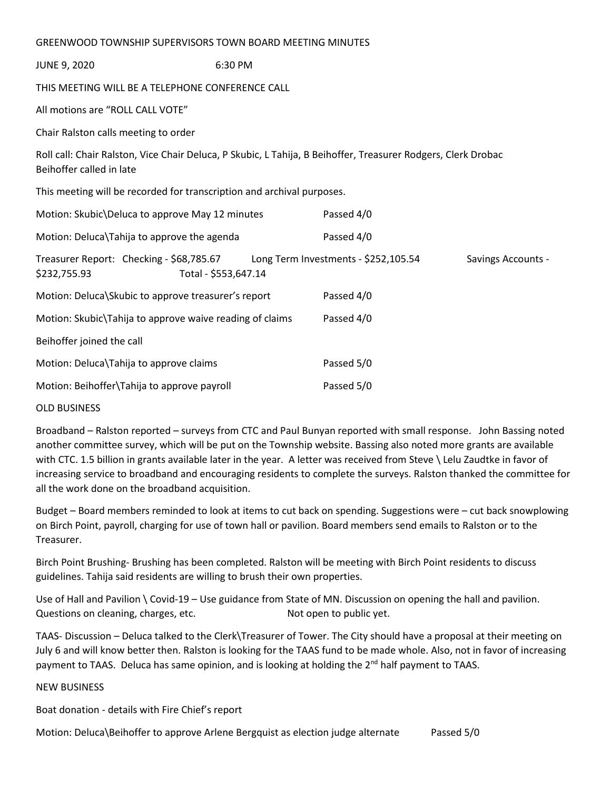| GREENWOOD TOWNSHIP SUPERVISORS TOWN BOARD MEETING MINUTES                                                                                 |                      |                                      |                           |
|-------------------------------------------------------------------------------------------------------------------------------------------|----------------------|--------------------------------------|---------------------------|
| <b>JUNE 9, 2020</b>                                                                                                                       | 6:30 PM              |                                      |                           |
| THIS MEETING WILL BE A TELEPHONE CONFERENCE CALL                                                                                          |                      |                                      |                           |
| All motions are "ROLL CALL VOTE"                                                                                                          |                      |                                      |                           |
| Chair Ralston calls meeting to order                                                                                                      |                      |                                      |                           |
| Roll call: Chair Ralston, Vice Chair Deluca, P Skubic, L Tahija, B Beihoffer, Treasurer Rodgers, Clerk Drobac<br>Beihoffer called in late |                      |                                      |                           |
| This meeting will be recorded for transcription and archival purposes.                                                                    |                      |                                      |                           |
| Motion: Skubic\Deluca to approve May 12 minutes                                                                                           |                      | Passed 4/0                           |                           |
| Motion: Deluca\Tahija to approve the agenda                                                                                               |                      | Passed 4/0                           |                           |
| Treasurer Report: Checking - \$68,785.67<br>\$232,755.93                                                                                  | Total - \$553,647.14 | Long Term Investments - \$252,105.54 | <b>Savings Accounts -</b> |
| Motion: Deluca\Skubic to approve treasurer's report                                                                                       |                      | Passed 4/0                           |                           |
| Motion: Skubic\Tahija to approve waive reading of claims                                                                                  |                      | Passed 4/0                           |                           |
| Beihoffer joined the call                                                                                                                 |                      |                                      |                           |
| Motion: Deluca\Tahija to approve claims                                                                                                   |                      | Passed 5/0                           |                           |
| Motion: Beihoffer\Tahija to approve payroll                                                                                               |                      | Passed 5/0                           |                           |
|                                                                                                                                           |                      |                                      |                           |

## OLD BUSINESS

Broadband – Ralston reported – surveys from CTC and Paul Bunyan reported with small response. John Bassing noted another committee survey, which will be put on the Township website. Bassing also noted more grants are available with CTC. 1.5 billion in grants available later in the year. A letter was received from Steve \ Lelu Zaudtke in favor of increasing service to broadband and encouraging residents to complete the surveys. Ralston thanked the committee for all the work done on the broadband acquisition.

Budget – Board members reminded to look at items to cut back on spending. Suggestions were – cut back snowplowing on Birch Point, payroll, charging for use of town hall or pavilion. Board members send emails to Ralston or to the Treasurer.

Birch Point Brushing- Brushing has been completed. Ralston will be meeting with Birch Point residents to discuss guidelines. Tahija said residents are willing to brush their own properties.

Use of Hall and Pavilion \ Covid-19 – Use guidance from State of MN. Discussion on opening the hall and pavilion. Questions on cleaning, charges, etc. Not open to public yet.

TAAS- Discussion – Deluca talked to the Clerk\Treasurer of Tower. The City should have a proposal at their meeting on July 6 and will know better then. Ralston is looking for the TAAS fund to be made whole. Also, not in favor of increasing payment to TAAS. Deluca has same opinion, and is looking at holding the  $2^{nd}$  half payment to TAAS.

## NEW BUSINESS

Boat donation - details with Fire Chief's report

Motion: Deluca\Beihoffer to approve Arlene Bergquist as election judge alternate Passed 5/0